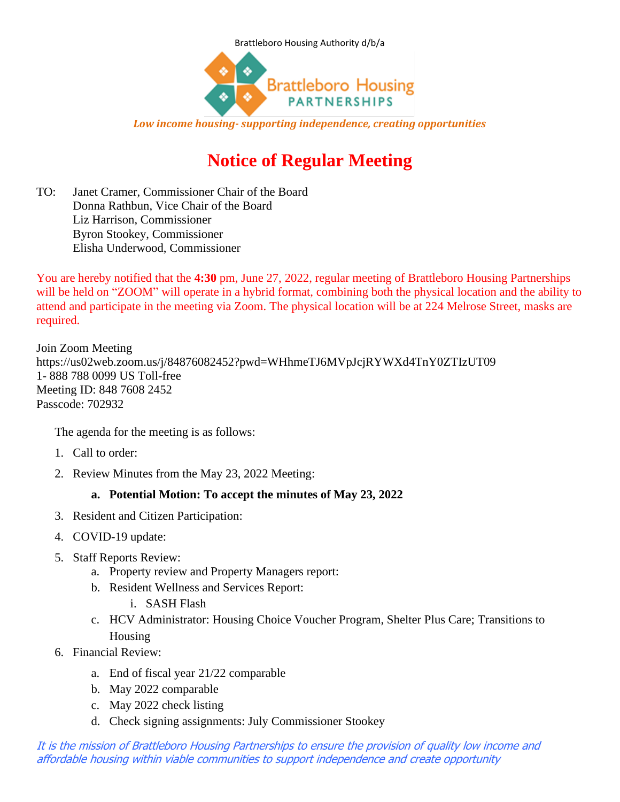



*Low income housing- supporting independence, creating opportunities*

## **Notice of Regular Meeting**

TO: Janet Cramer, Commissioner Chair of the Board Donna Rathbun, Vice Chair of the Board Liz Harrison, Commissioner Byron Stookey, Commissioner Elisha Underwood, Commissioner

You are hereby notified that the **4:30** pm, June 27, 2022, regular meeting of Brattleboro Housing Partnerships will be held on "ZOOM" will operate in a hybrid format, combining both the physical location and the ability to attend and participate in the meeting via Zoom. The physical location will be at 224 Melrose Street, masks are required.

Join Zoom Meeting https://us02web.zoom.us/j/84876082452?pwd=WHhmeTJ6MVpJcjRYWXd4TnY0ZTIzUT09 1- 888 788 0099 US Toll-free Meeting ID: 848 7608 2452 Passcode: 702932

The agenda for the meeting is as follows:

- 1. Call to order:
- 2. Review Minutes from the May 23, 2022 Meeting:

## **a. Potential Motion: To accept the minutes of May 23, 2022**

- 3. Resident and Citizen Participation:
- 4. COVID-19 update:
- 5. Staff Reports Review:
	- a. Property review and Property Managers report:
	- b. Resident Wellness and Services Report:
		- i. SASH Flash
	- c. HCV Administrator: Housing Choice Voucher Program, Shelter Plus Care; Transitions to Housing
- 6. Financial Review:
	- a. End of fiscal year 21/22 comparable
	- b. May 2022 comparable
	- c. May 2022 check listing
	- d. Check signing assignments: July Commissioner Stookey

It is the mission of Brattleboro Housing Partnerships to ensure the provision of quality low income and affordable housing within viable communities to support independence and create opportunity